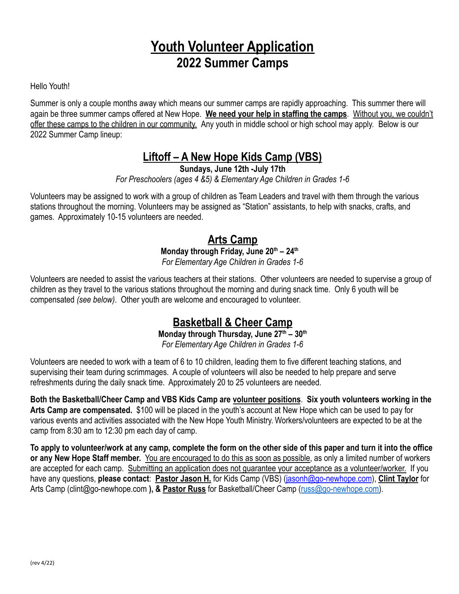# **Youth Volunteer Application 2022 Summer Camps**

Hello Youth!

Summer is only a couple months away which means our summer camps are rapidly approaching. This summer there will again be three summer camps offered at New Hope. **We need your help in staffing the camps**. Without you, we couldn't offer these camps to the children in our community. Any youth in middle school or high school may apply. Below is our 2022 Summer Camp lineup:

# **Liftoff – A New Hope Kids Camp (VBS)**

**Sundays, June 12th -July 17th**

*For Preschoolers (ages 4 &5) & Elementary Age Children in Grades 1-6*

Volunteers may be assigned to work with a group of children as Team Leaders and travel with them through the various stations throughout the morning. Volunteers may be assigned as "Station" assistants, to help with snacks, crafts, and games. Approximately 10-15 volunteers are needed.

## **Arts Camp Monday through Friday, June 20th – 24th** *For Elementary Age Children in Grades 1-6*

Volunteers are needed to assist the various teachers at their stations. Other volunteers are needed to supervise a group of children as they travel to the various stations throughout the morning and during snack time. Only 6 youth will be compensated *(see below)*. Other youth are welcome and encouraged to volunteer.

## **Basketball & Cheer Camp**

## **Monday through Thursday, June 27th – 30th**

*For Elementary Age Children in Grades 1-6*

Volunteers are needed to work with a team of 6 to 10 children, leading them to five different teaching stations, and supervising their team during scrimmages. A couple of volunteers will also be needed to help prepare and serve refreshments during the daily snack time. Approximately 20 to 25 volunteers are needed.

**Both the Basketball/Cheer Camp and VBS Kids Camp are volunteer positions**. **Six youth volunteers working in the Arts Camp are compensated.** \$100 will be placed in the youth's account at New Hope which can be used to pay for various events and activities associated with the New Hope Youth Ministry. Workers/volunteers are expected to be at the camp from 8:30 am to 12:30 pm each day of camp.

**To apply to volunteer/work at any camp, complete the form on the other side of this paper and turn it into the office or any New Hope Staff member.** You are encouraged to do this as soon as possible, as only a limited number of workers are accepted for each camp. Submitting an application does not guarantee your acceptance as a volunteer/worker. If you have any questions, **please contact**: **Pastor Jason H.** for Kids Camp (VBS) ([jasonh@go-newhope.com](mailto:jasonh@go-newhope.com)), **Clint Taylor** for Arts Camp (clint@go-newhope.com **), & Pastor Russ** for Basketball/Cheer Camp ([russ@go-newhope.com\)](mailto:russ@go-newhope.com).